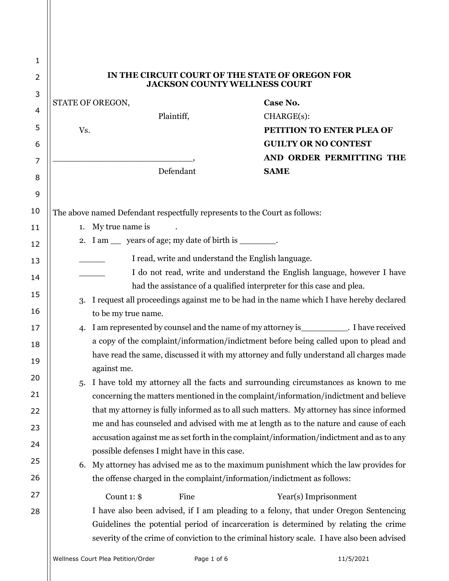| IN THE CIRCUIT COURT OF THE STATE OF OREGON FOR<br><b>JACKSON COUNTY WELLNESS COURT</b> |                                                                          |                                                                                                                                                                                                                                                                                                                                                                                                                                                                                                                                                                                                                                                                                                                                                                                                         |  |
|-----------------------------------------------------------------------------------------|--------------------------------------------------------------------------|---------------------------------------------------------------------------------------------------------------------------------------------------------------------------------------------------------------------------------------------------------------------------------------------------------------------------------------------------------------------------------------------------------------------------------------------------------------------------------------------------------------------------------------------------------------------------------------------------------------------------------------------------------------------------------------------------------------------------------------------------------------------------------------------------------|--|
|                                                                                         |                                                                          | Case No.                                                                                                                                                                                                                                                                                                                                                                                                                                                                                                                                                                                                                                                                                                                                                                                                |  |
|                                                                                         | Plaintiff,                                                               | $CHARGE(s)$ :                                                                                                                                                                                                                                                                                                                                                                                                                                                                                                                                                                                                                                                                                                                                                                                           |  |
|                                                                                         |                                                                          | PETITION TO ENTER PLEA OF                                                                                                                                                                                                                                                                                                                                                                                                                                                                                                                                                                                                                                                                                                                                                                               |  |
|                                                                                         |                                                                          | <b>GUILTY OR NO CONTEST</b>                                                                                                                                                                                                                                                                                                                                                                                                                                                                                                                                                                                                                                                                                                                                                                             |  |
|                                                                                         |                                                                          | AND ORDER PERMITTING THE                                                                                                                                                                                                                                                                                                                                                                                                                                                                                                                                                                                                                                                                                                                                                                                |  |
|                                                                                         |                                                                          | <b>SAME</b>                                                                                                                                                                                                                                                                                                                                                                                                                                                                                                                                                                                                                                                                                                                                                                                             |  |
|                                                                                         |                                                                          |                                                                                                                                                                                                                                                                                                                                                                                                                                                                                                                                                                                                                                                                                                                                                                                                         |  |
|                                                                                         |                                                                          |                                                                                                                                                                                                                                                                                                                                                                                                                                                                                                                                                                                                                                                                                                                                                                                                         |  |
|                                                                                         | My true name is                                                          |                                                                                                                                                                                                                                                                                                                                                                                                                                                                                                                                                                                                                                                                                                                                                                                                         |  |
|                                                                                         |                                                                          |                                                                                                                                                                                                                                                                                                                                                                                                                                                                                                                                                                                                                                                                                                                                                                                                         |  |
|                                                                                         |                                                                          |                                                                                                                                                                                                                                                                                                                                                                                                                                                                                                                                                                                                                                                                                                                                                                                                         |  |
|                                                                                         | I do not read, write and understand the English language, however I have |                                                                                                                                                                                                                                                                                                                                                                                                                                                                                                                                                                                                                                                                                                                                                                                                         |  |
|                                                                                         |                                                                          | had the assistance of a qualified interpreter for this case and plea.                                                                                                                                                                                                                                                                                                                                                                                                                                                                                                                                                                                                                                                                                                                                   |  |
| 3.                                                                                      |                                                                          | I request all proceedings against me to be had in the name which I have hereby declared                                                                                                                                                                                                                                                                                                                                                                                                                                                                                                                                                                                                                                                                                                                 |  |
|                                                                                         |                                                                          |                                                                                                                                                                                                                                                                                                                                                                                                                                                                                                                                                                                                                                                                                                                                                                                                         |  |
|                                                                                         |                                                                          |                                                                                                                                                                                                                                                                                                                                                                                                                                                                                                                                                                                                                                                                                                                                                                                                         |  |
|                                                                                         |                                                                          |                                                                                                                                                                                                                                                                                                                                                                                                                                                                                                                                                                                                                                                                                                                                                                                                         |  |
|                                                                                         |                                                                          |                                                                                                                                                                                                                                                                                                                                                                                                                                                                                                                                                                                                                                                                                                                                                                                                         |  |
| 5.                                                                                      |                                                                          | I have told my attorney all the facts and surrounding circumstances as known to me                                                                                                                                                                                                                                                                                                                                                                                                                                                                                                                                                                                                                                                                                                                      |  |
|                                                                                         |                                                                          | concerning the matters mentioned in the complaint/information/indictment and believe                                                                                                                                                                                                                                                                                                                                                                                                                                                                                                                                                                                                                                                                                                                    |  |
|                                                                                         |                                                                          | that my attorney is fully informed as to all such matters. My attorney has since informed                                                                                                                                                                                                                                                                                                                                                                                                                                                                                                                                                                                                                                                                                                               |  |
|                                                                                         |                                                                          | me and has counseled and advised with me at length as to the nature and cause of each                                                                                                                                                                                                                                                                                                                                                                                                                                                                                                                                                                                                                                                                                                                   |  |
|                                                                                         |                                                                          | accusation against me as set forth in the complaint/information/indictment and as to any                                                                                                                                                                                                                                                                                                                                                                                                                                                                                                                                                                                                                                                                                                                |  |
|                                                                                         |                                                                          |                                                                                                                                                                                                                                                                                                                                                                                                                                                                                                                                                                                                                                                                                                                                                                                                         |  |
|                                                                                         |                                                                          |                                                                                                                                                                                                                                                                                                                                                                                                                                                                                                                                                                                                                                                                                                                                                                                                         |  |
|                                                                                         |                                                                          | Year(s) Imprisonment                                                                                                                                                                                                                                                                                                                                                                                                                                                                                                                                                                                                                                                                                                                                                                                    |  |
|                                                                                         |                                                                          | I have also been advised, if I am pleading to a felony, that under Oregon Sentencing                                                                                                                                                                                                                                                                                                                                                                                                                                                                                                                                                                                                                                                                                                                    |  |
|                                                                                         |                                                                          | Guidelines the potential period of incarceration is determined by relating the crime<br>severity of the crime of conviction to the criminal history scale. I have also been advised                                                                                                                                                                                                                                                                                                                                                                                                                                                                                                                                                                                                                     |  |
|                                                                                         | 4.<br>6.                                                                 | STATE OF OREGON,<br>Vs.<br>Defendant<br>The above named Defendant respectfully represents to the Court as follows:<br>1.<br>2. I am __ years of age; my date of birth is ________.<br>I read, write and understand the English language.<br>to be my true name.<br>I am represented by counsel and the name of my attorney is ____________. I have received<br>a copy of the complaint/information/indictment before being called upon to plead and<br>have read the same, discussed it with my attorney and fully understand all charges made<br>against me.<br>possible defenses I might have in this case.<br>My attorney has advised me as to the maximum punishment which the law provides for<br>the offense charged in the complaint/information/indictment as follows:<br>Count $1:$ \$<br>Fine |  |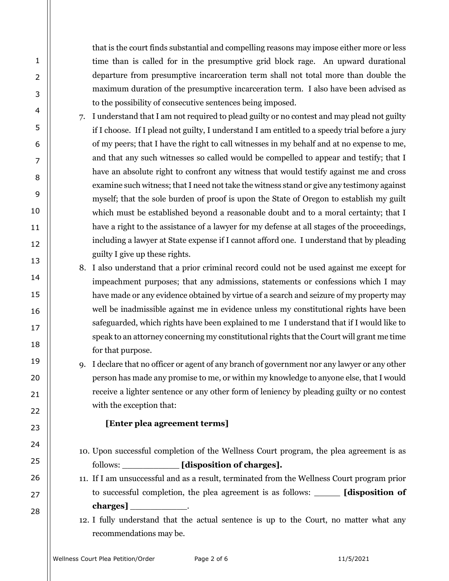that is the court finds substantial and compelling reasons may impose either more or less time than is called for in the presumptive grid block rage. An upward durational departure from presumptive incarceration term shall not total more than double the maximum duration of the presumptive incarceration term. I also have been advised as to the possibility of consecutive sentences being imposed.

- 7. I understand that I am not required to plead guilty or no contest and may plead not guilty if I choose. If I plead not guilty, I understand I am entitled to a speedy trial before a jury of my peers; that I have the right to call witnesses in my behalf and at no expense to me, and that any such witnesses so called would be compelled to appear and testify; that I have an absolute right to confront any witness that would testify against me and cross examine such witness; that I need not take the witness stand or give any testimony against myself; that the sole burden of proof is upon the State of Oregon to establish my guilt which must be established beyond a reasonable doubt and to a moral certainty; that I have a right to the assistance of a lawyer for my defense at all stages of the proceedings, including a lawyer at State expense if I cannot afford one. I understand that by pleading guilty I give up these rights.
- 8. I also understand that a prior criminal record could not be used against me except for impeachment purposes; that any admissions, statements or confessions which I may have made or any evidence obtained by virtue of a search and seizure of my property may well be inadmissible against me in evidence unless my constitutional rights have been safeguarded, which rights have been explained to me I understand that if I would like to speak to an attorney concerning my constitutional rights that the Court will grant me time for that purpose.
- 9. I declare that no officer or agent of any branch of government nor any lawyer or any other person has made any promise to me, or within my knowledge to anyone else, that I would receive a lighter sentence or any other form of leniency by pleading guilty or no contest with the exception that:

## **[Enter plea agreement terms]**

- 10. Upon successful completion of the Wellness Court program, the plea agreement is as follows: *[disposition of charges].*
- 11. If I am unsuccessful and as a result, terminated from the Wellness Court program prior to successful completion, the plea agreement is as follows: \_\_\_\_\_ **[disposition of charges]** \_\_\_\_\_\_\_\_\_\_\_.
- 12. I fully understand that the actual sentence is up to the Court, no matter what any recommendations may be.

1

2

3

4

5

6

7

8

9

10

11

12

13

14

15

16

17

18

19

20

21

22

23

24

25

26

27

28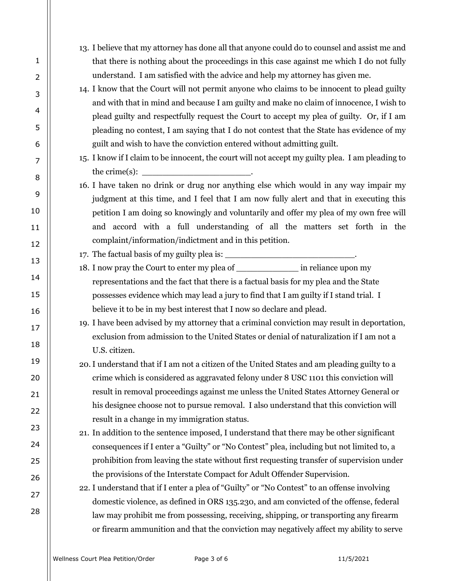- 13. I believe that my attorney has done all that anyone could do to counsel and assist me and that there is nothing about the proceedings in this case against me which I do not fully understand. I am satisfied with the advice and help my attorney has given me.
- 14. I know that the Court will not permit anyone who claims to be innocent to plead guilty and with that in mind and because I am guilty and make no claim of innocence, I wish to plead guilty and respectfully request the Court to accept my plea of guilty. Or, if I am pleading no contest, I am saying that I do not contest that the State has evidence of my guilt and wish to have the conviction entered without admitting guilt.
- 15. I know if I claim to be innocent, the court will not accept my guilty plea. I am pleading to the crime $(s)$ :
- 16. I have taken no drink or drug nor anything else which would in any way impair my judgment at this time, and I feel that I am now fully alert and that in executing this petition I am doing so knowingly and voluntarily and offer my plea of my own free will and accord with a full understanding of all the matters set forth in the complaint/information/indictment and in this petition.
- 17. The factual basis of my guilty plea is:
- 18. I now pray the Court to enter my plea of  $\qquad \qquad$  in reliance upon my representations and the fact that there is a factual basis for my plea and the State possesses evidence which may lead a jury to find that I am guilty if I stand trial. I believe it to be in my best interest that I now so declare and plead.
- 19. I have been advised by my attorney that a criminal conviction may result in deportation, exclusion from admission to the United States or denial of naturalization if I am not a U.S. citizen.
- 20.I understand that if I am not a citizen of the United States and am pleading guilty to a crime which is considered as aggravated felony under 8 USC 1101 this conviction will result in removal proceedings against me unless the United States Attorney General or his designee choose not to pursue removal. I also understand that this conviction will result in a change in my immigration status.
- 21. In addition to the sentence imposed, I understand that there may be other significant consequences if I enter a "Guilty" or "No Contest" plea, including but not limited to, a prohibition from leaving the state without first requesting transfer of supervision under the provisions of the Interstate Compact for Adult Offender Supervision.
- 22. I understand that if I enter a plea of "Guilty" or "No Contest" to an offense involving domestic violence, as defined in ORS 135.230, and am convicted of the offense, federal law may prohibit me from possessing, receiving, shipping, or transporting any firearm or firearm ammunition and that the conviction may negatively affect my ability to serve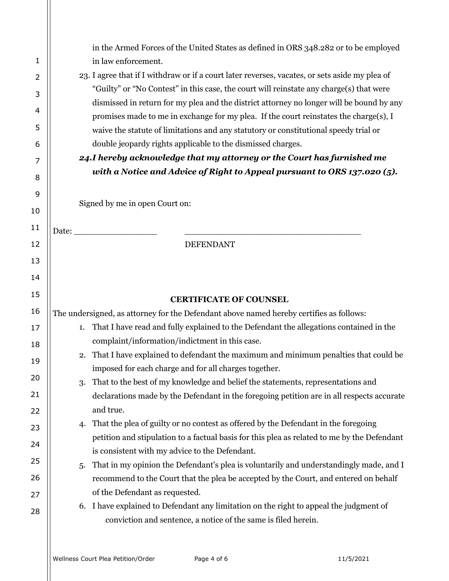|                |                                                                                         | in the Armed Forces of the United States as defined in ORS 348.282 or to be employed                                                                                              |  |  |  |
|----------------|-----------------------------------------------------------------------------------------|-----------------------------------------------------------------------------------------------------------------------------------------------------------------------------------|--|--|--|
| 1              |                                                                                         | in law enforcement.                                                                                                                                                               |  |  |  |
| $\overline{2}$ |                                                                                         | 23. I agree that if I withdraw or if a court later reverses, vacates, or sets aside my plea of                                                                                    |  |  |  |
| 3              |                                                                                         | "Guilty" or "No Contest" in this case, the court will reinstate any charge(s) that were                                                                                           |  |  |  |
| 4              |                                                                                         | dismissed in return for my plea and the district attorney no longer will be bound by any<br>promises made to me in exchange for my plea. If the court reinstates the charge(s), I |  |  |  |
| 5              |                                                                                         | waive the statute of limitations and any statutory or constitutional speedy trial or                                                                                              |  |  |  |
| 6              |                                                                                         | double jeopardy rights applicable to the dismissed charges.                                                                                                                       |  |  |  |
| 7              | 24.I hereby acknowledge that my attorney or the Court has furnished me                  |                                                                                                                                                                                   |  |  |  |
| 8              |                                                                                         | with a Notice and Advice of Right to Appeal pursuant to ORS 137.020 (5).                                                                                                          |  |  |  |
| 9              | Signed by me in open Court on:                                                          |                                                                                                                                                                                   |  |  |  |
| 10             |                                                                                         |                                                                                                                                                                                   |  |  |  |
| 11             |                                                                                         | Date: No. 1996                                                                                                                                                                    |  |  |  |
| 12             |                                                                                         | <b>DEFENDANT</b>                                                                                                                                                                  |  |  |  |
| 13             |                                                                                         |                                                                                                                                                                                   |  |  |  |
| 14             |                                                                                         |                                                                                                                                                                                   |  |  |  |
| 15             |                                                                                         | <b>CERTIFICATE OF COUNSEL</b>                                                                                                                                                     |  |  |  |
| 16             | The undersigned, as attorney for the Defendant above named hereby certifies as follows: |                                                                                                                                                                                   |  |  |  |
| 17             | 1.                                                                                      | That I have read and fully explained to the Defendant the allegations contained in the                                                                                            |  |  |  |
| 18             |                                                                                         | complaint/information/indictment in this case.                                                                                                                                    |  |  |  |
| 19             | 2.                                                                                      | That I have explained to defendant the maximum and minimum penalties that could be                                                                                                |  |  |  |
| 20             | 3.                                                                                      | imposed for each charge and for all charges together.<br>That to the best of my knowledge and belief the statements, representations and                                          |  |  |  |
| 21             |                                                                                         | declarations made by the Defendant in the foregoing petition are in all respects accurate                                                                                         |  |  |  |
| 22             |                                                                                         | and true.                                                                                                                                                                         |  |  |  |
| 23             | 4.                                                                                      | That the plea of guilty or no contest as offered by the Defendant in the foregoing                                                                                                |  |  |  |
| 24             |                                                                                         | petition and stipulation to a factual basis for this plea as related to me by the Defendant<br>is consistent with my advice to the Defendant.                                     |  |  |  |
| 25             | 5.                                                                                      | That in my opinion the Defendant's plea is voluntarily and understandingly made, and I                                                                                            |  |  |  |
| 26             |                                                                                         | recommend to the Court that the plea be accepted by the Court, and entered on behalf                                                                                              |  |  |  |
| 27             |                                                                                         | of the Defendant as requested.                                                                                                                                                    |  |  |  |
| 28             |                                                                                         | 6. I have explained to Defendant any limitation on the right to appeal the judgment of                                                                                            |  |  |  |
|                |                                                                                         | conviction and sentence, a notice of the same is filed herein.                                                                                                                    |  |  |  |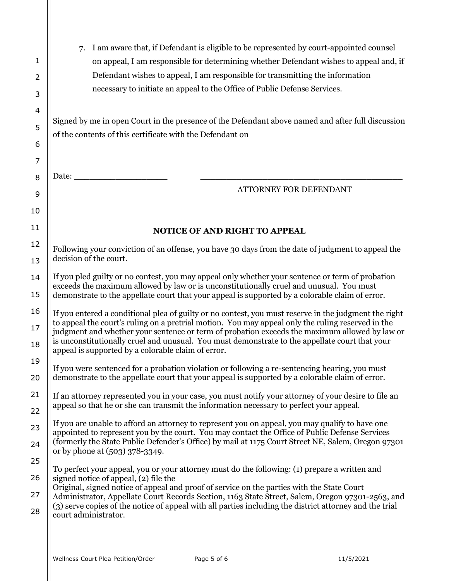| 1<br>2<br>3    | I am aware that, if Defendant is eligible to be represented by court-appointed counsel<br>7.<br>on appeal, I am responsible for determining whether Defendant wishes to appeal and, if<br>Defendant wishes to appeal, I am responsible for transmitting the information<br>necessary to initiate an appeal to the Office of Public Defense Services.                                                                                                                |  |  |
|----------------|---------------------------------------------------------------------------------------------------------------------------------------------------------------------------------------------------------------------------------------------------------------------------------------------------------------------------------------------------------------------------------------------------------------------------------------------------------------------|--|--|
| 4<br>5         | Signed by me in open Court in the presence of the Defendant above named and after full discussion<br>of the contents of this certificate with the Defendant on                                                                                                                                                                                                                                                                                                      |  |  |
| 6              |                                                                                                                                                                                                                                                                                                                                                                                                                                                                     |  |  |
| 7              |                                                                                                                                                                                                                                                                                                                                                                                                                                                                     |  |  |
| 8              | Date: <u>Date:</u><br>ATTORNEY FOR DEFENDANT                                                                                                                                                                                                                                                                                                                                                                                                                        |  |  |
| 9              |                                                                                                                                                                                                                                                                                                                                                                                                                                                                     |  |  |
| 10             |                                                                                                                                                                                                                                                                                                                                                                                                                                                                     |  |  |
| 11             | NOTICE OF AND RIGHT TO APPEAL                                                                                                                                                                                                                                                                                                                                                                                                                                       |  |  |
| 12<br>13       | Following your conviction of an offense, you have 30 days from the date of judgment to appeal the<br>decision of the court.                                                                                                                                                                                                                                                                                                                                         |  |  |
| 14<br>15       | If you pled guilty or no contest, you may appeal only whether your sentence or term of probation<br>exceeds the maximum allowed by law or is unconstitutionally cruel and unusual. You must<br>demonstrate to the appellate court that your appeal is supported by a colorable claim of error.                                                                                                                                                                      |  |  |
| 16<br>17<br>18 | If you entered a conditional plea of guilty or no contest, you must reserve in the judgment the right<br>to appeal the court's ruling on a pretrial motion. You may appeal only the ruling reserved in the<br>judgment and whether your sentence or term of probation exceeds the maximum allowed by law or<br>is unconstitutionally cruel and unusual. You must demonstrate to the appellate court that your<br>appeal is supported by a colorable claim of error. |  |  |
| 19<br>20       | If you were sentenced for a probation violation or following a re-sentencing hearing, you must<br>demonstrate to the appellate court that your appeal is supported by a colorable claim of error.                                                                                                                                                                                                                                                                   |  |  |
| 21<br>22       | If an attorney represented you in your case, you must notify your attorney of your desire to file an<br>appeal so that he or she can transmit the information necessary to perfect your appeal.                                                                                                                                                                                                                                                                     |  |  |
| 23             | If you are unable to afford an attorney to represent you on appeal, you may qualify to have one                                                                                                                                                                                                                                                                                                                                                                     |  |  |
| 24             | appointed to represent you by the court. You may contact the Office of Public Defense Services<br>(formerly the State Public Defender's Office) by mail at 1175 Court Street NE, Salem, Oregon 97301                                                                                                                                                                                                                                                                |  |  |
| 25             | or by phone at (503) 378-3349.                                                                                                                                                                                                                                                                                                                                                                                                                                      |  |  |
| 26             | To perfect your appeal, you or your attorney must do the following: (1) prepare a written and<br>signed notice of appeal, (2) file the                                                                                                                                                                                                                                                                                                                              |  |  |
| 27             | Original, signed notice of appeal and proof of service on the parties with the State Court                                                                                                                                                                                                                                                                                                                                                                          |  |  |
| 28             | Administrator, Appellate Court Records Section, 1163 State Street, Salem, Oregon 97301-2563, and<br>(3) serve copies of the notice of appeal with all parties including the district attorney and the trial<br>court administrator.                                                                                                                                                                                                                                 |  |  |
|                |                                                                                                                                                                                                                                                                                                                                                                                                                                                                     |  |  |